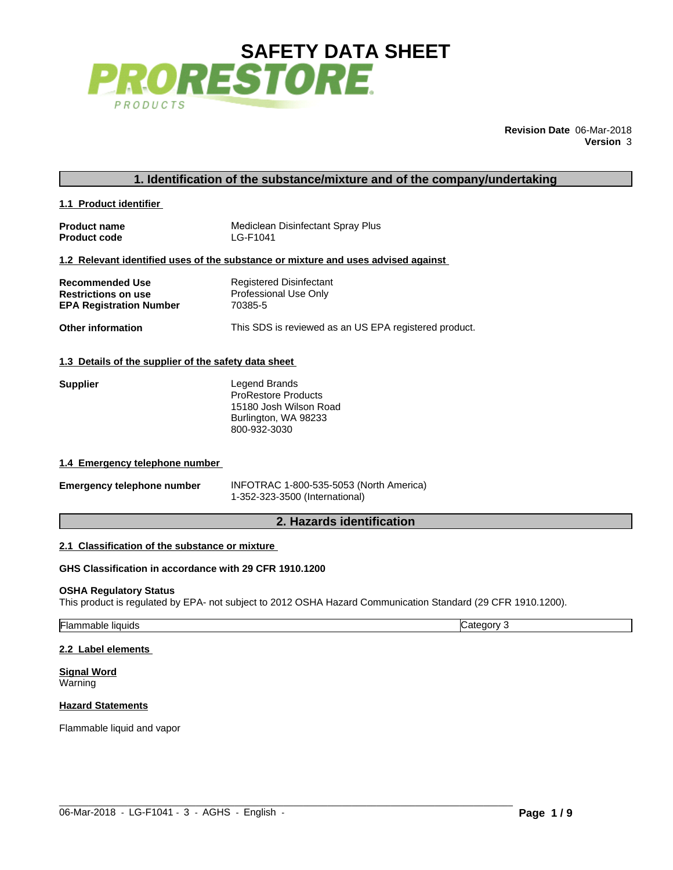

**Revision Date** 06-Mar-2018 **Version** 3

**1.1 Product identifier** 

**Product name Product code** Mediclean Disinfectant Spray Plus LG-F1041

### **1.2 Relevant identified uses of the substance or mixture and uses advised against**

| <b>Recommended Use</b>         | Registered Disinfectant                               |
|--------------------------------|-------------------------------------------------------|
| <b>Restrictions on use</b>     | Professional Use Only                                 |
| <b>EPA Registration Number</b> | 70385-5                                               |
| <b>Other information</b>       | This SDS is reviewed as an US EPA registered product. |

### **1.3 Details of the supplier of the safety data sheet**

| <b>Supplier</b> | Legend Brands              |  |
|-----------------|----------------------------|--|
|                 | <b>ProRestore Products</b> |  |
|                 | 15180 Josh Wilson Road     |  |
|                 | Burlington, WA 98233       |  |
|                 | 800-932-3030               |  |

### **1.4 Emergency telephone number**

| 1.3 Details of the supplier of the safety data sheet                                                     |                                                                                                               |
|----------------------------------------------------------------------------------------------------------|---------------------------------------------------------------------------------------------------------------|
| <b>Supplier</b>                                                                                          | Legend Brands<br><b>ProRestore Products</b><br>15180 Josh Wilson Road<br>Burlington, WA 98233<br>800-932-3030 |
| 1.4 Emergency telephone number                                                                           |                                                                                                               |
| <b>Emergency telephone number</b>                                                                        | INFOTRAC 1-800-535-5053 (North America)<br>1-352-323-3500 (International)                                     |
|                                                                                                          | 2. Hazards identification                                                                                     |
| 2.1 Classification of the substance or mixture<br>GHS Classification in accordance with 29 CFR 1910.1200 |                                                                                                               |
|                                                                                                          |                                                                                                               |

# **2.1 Classification of the substance or mixture**

### **GHS Classification in accordance with 29 CFR 1910.1200**

### **OSHA Regulatory Status**

This product is regulated by EPA- not subject to 2012 OSHA Hazard Communication Standard (29 CFR 1910.1200).

| liquids<br>`ТЬ<br>าลทเค<br>ıa |
|-------------------------------|
|-------------------------------|

 $\_$  ,  $\_$  ,  $\_$  ,  $\_$  ,  $\_$  ,  $\_$  ,  $\_$  ,  $\_$  ,  $\_$  ,  $\_$  ,  $\_$  ,  $\_$  ,  $\_$  ,  $\_$  ,  $\_$  ,  $\_$  ,  $\_$  ,  $\_$  ,  $\_$  ,  $\_$  ,  $\_$  ,  $\_$  ,  $\_$  ,  $\_$  ,  $\_$  ,  $\_$  ,  $\_$  ,  $\_$  ,  $\_$  ,  $\_$  ,  $\_$  ,  $\_$  ,  $\_$  ,  $\_$  ,  $\_$  ,  $\_$  ,  $\_$  ,

### **2.2 Label elements**

### **Signal Word** Warning

# **Hazard Statements**

Flammable liquid and vapor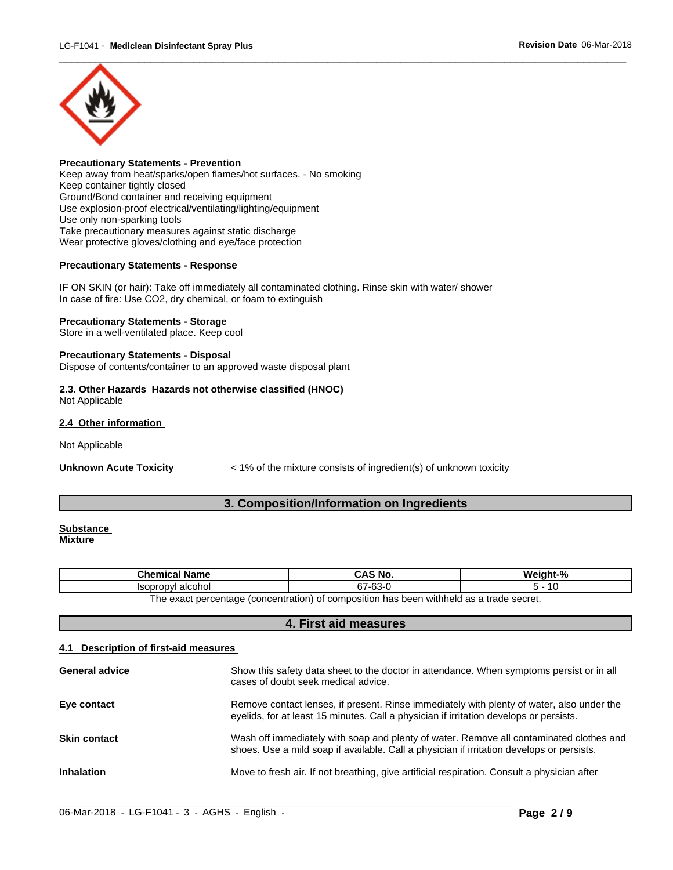

**Precautionary Statements - Prevention** Keep away from heat/sparks/open flames/hot surfaces. - No smoking Keep container tightly closed Ground/Bond container and receiving equipment Use explosion-proof electrical/ventilating/lighting/equipment Use only non-sparking tools Take precautionary measures against static discharge Wear protective gloves/clothing and eye/face protection

# **Precautionary Statements - Response**

IF ON SKIN (or hair): Take off immediately all contaminated clothing. Rinse skin with water/ shower In case of fire: Use CO2, dry chemical, or foam to extinguish

# **Precautionary Statements - Storage**

Store in a well-ventilated place. Keep cool

## **Precautionary Statements - Disposal**

Dispose of contents/container to an approved waste disposal plant

## **2.3. Other Hazards Hazards not otherwise classified (HNOC)**  Not Applicable

# **2.4 Other information**

**Unknown Acute Toxicity** < 1% of the mixture consists of ingredient(s) of unknown toxicity **3. Composition/Information on Ingredients**<br> **3. Composition/Information on Ingredients** 

### **Substance Mixture**

| Name<br>$\cdot$ and $\cdot$ $\cdot$         | . C. NI<br>. RIJ<br><br>טיי         | Wain.                         |
|---------------------------------------------|-------------------------------------|-------------------------------|
| alcoho<br>Isonronvi<br>ישטי<br>.            | $\sim$<br>~~<br>∼-<br>ື             |                               |
| (concentration)<br>I he exact<br>nercentage | t comnosition<br>has<br>. heen<br>. | ) withheld as a trade secret. |

| Not Applicable                    |                                                                                                                                                                                     |                                                                                         |
|-----------------------------------|-------------------------------------------------------------------------------------------------------------------------------------------------------------------------------------|-----------------------------------------------------------------------------------------|
| <b>Unknown Acute Toxicity</b>     | < 1% of the mixture consists of ingredient(s) of unknown toxicity                                                                                                                   |                                                                                         |
|                                   | 3. Composition/Information on Ingredients                                                                                                                                           |                                                                                         |
| <b>Substance</b><br>Mixture       |                                                                                                                                                                                     |                                                                                         |
| <b>Chemical Name</b>              | <b>CAS No.</b>                                                                                                                                                                      | Weight-%                                                                                |
| Isopropyl alcohol                 | 67-63-0                                                                                                                                                                             | $5 - 10$                                                                                |
|                                   | The exact percentage (concentration) of composition has been withheld as a trade secret.                                                                                            |                                                                                         |
|                                   | 4. First aid measures                                                                                                                                                               |                                                                                         |
| Description of first-aid measures |                                                                                                                                                                                     |                                                                                         |
| <b>General advice</b>             | Show this safety data sheet to the doctor in attendance. When symptoms persist or in all<br>cases of doubt seek medical advice.                                                     |                                                                                         |
| Eye contact                       | Remove contact lenses, if present. Rinse immediately with plenty of water, also under the<br>eyelids, for at least 15 minutes. Call a physician if irritation develops or persists. |                                                                                         |
| <b>Skin contact</b>               | shoes. Use a mild soap if available. Call a physician if irritation develops or persists.                                                                                           | Wash off immediately with soap and plenty of water. Remove all contaminated clothes and |
| <b>Inhalation</b>                 | Move to fresh air. If not breathing, give artificial respiration. Consult a physician after                                                                                         |                                                                                         |

 $\_$  ,  $\_$  ,  $\_$  ,  $\_$  ,  $\_$  ,  $\_$  ,  $\_$  ,  $\_$  ,  $\_$  ,  $\_$  ,  $\_$  ,  $\_$  ,  $\_$  ,  $\_$  ,  $\_$  ,  $\_$  ,  $\_$  ,  $\_$  ,  $\_$  ,  $\_$  ,  $\_$  ,  $\_$  ,  $\_$  ,  $\_$  ,  $\_$  ,  $\_$  ,  $\_$  ,  $\_$  ,  $\_$  ,  $\_$  ,  $\_$  ,  $\_$  ,  $\_$  ,  $\_$  ,  $\_$  ,  $\_$  ,  $\_$  ,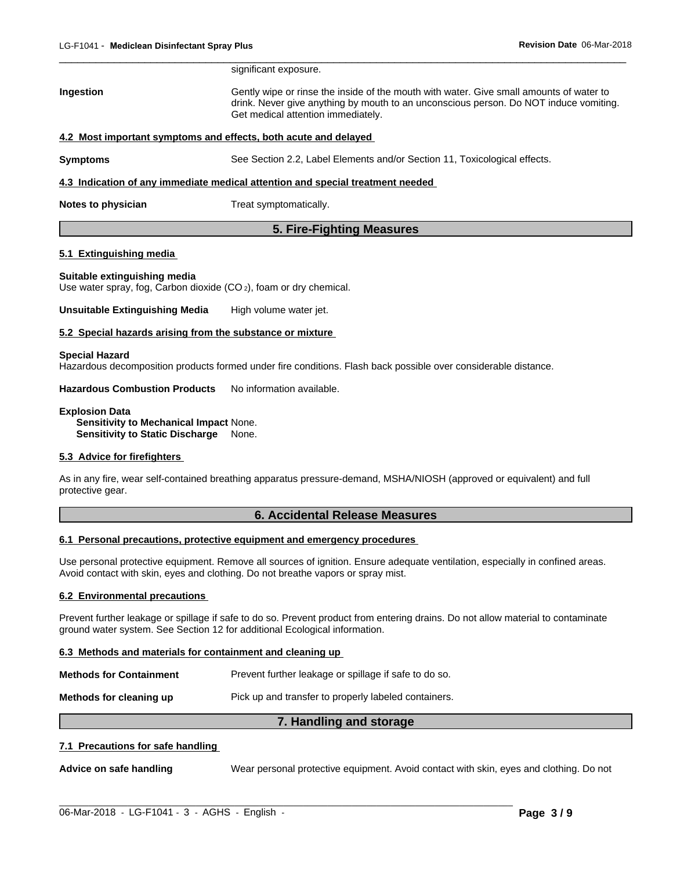| LG-F1041 - Mediclean Disinfectant Spray Plus |                                                                                | Revision Date 06-Mar-2018                                                                                                                                                        |
|----------------------------------------------|--------------------------------------------------------------------------------|----------------------------------------------------------------------------------------------------------------------------------------------------------------------------------|
|                                              | significant exposure.                                                          |                                                                                                                                                                                  |
| Ingestion                                    | Get medical attention immediately.                                             | Gently wipe or rinse the inside of the mouth with water. Give small amounts of water to<br>drink. Never give anything by mouth to an unconscious person. Do NOT induce vomiting. |
|                                              | 4.2 Most important symptoms and effects, both acute and delayed                |                                                                                                                                                                                  |
| <b>Symptoms</b>                              | See Section 2.2, Label Elements and/or Section 11, Toxicological effects.      |                                                                                                                                                                                  |
|                                              | 4.3 Indication of any immediate medical attention and special treatment needed |                                                                                                                                                                                  |
| Notes to physician                           | Treat symptomatically.                                                         |                                                                                                                                                                                  |
|                                              | 5. Fire-Fighting Measures                                                      |                                                                                                                                                                                  |
| 5.1 Extinguishing media                      |                                                                                |                                                                                                                                                                                  |
| Suitable extinguishing media                 |                                                                                |                                                                                                                                                                                  |

## **5.1 Extinguishing media**

### **Suitable extinguishing media**

Use water spray, fog, Carbon dioxide (CO 2), foam or dry chemical.

**Unsuitable Extinguishing Media** High volume water jet.

## **5.2 Special hazards arising from the substance or mixture**

### **Special Hazard**

Hazardous decomposition products formed under fire conditions. Flash back possible over considerable distance.

**Hazardous Combustion Products** No information available.

**Explosion Data Sensitivity to Mechanical Impact** None. **Sensitivity to Static Discharge** None.

# **5.3 Advice for firefighters**

As in any fire, wear self-contained breathing apparatus pressure-demand, MSHA/NIOSH (approved or equivalent) and full protective gear. **Example 15. Accord Synthetics**<br> **Example: Example: Accord Synthetics**<br> **6. Accidental Release Measures<br>
<b>6. Accidental Release Measures**<br> **6. Accidental Release Measures**<br> **all sources of ignition. Ensure adequate ventila** 

### **6.1 Personal precautions, protective equipment and emergency procedures**

Use personal protective equipment. Remove all sources of ignition. Ensure adequate ventilation, especially in confined areas. Avoid contact with skin, eyes and clothing. Do not breathe vapors or spray mist. **7. Handling and storage**

# **6.2 Environmental precautions**

Prevent further leakage or spillage if safe to do so. Prevent product from entering drains. Do not allow material to contaminate ground water system. See Section 12 for additional Ecological information.

## **6.3 Methods and materials for containment and cleaning up**

| <b>Methods for Containment</b> | Prevent further leakage or spillage if safe to do so. |
|--------------------------------|-------------------------------------------------------|
| Methods for cleaning up        | Pick up and transfer to properly labeled containers.  |

# **7.1 Precautions for safe handling**

**Advice on safe handling** Wear personal protective equipment. Avoid contact with skin, eyes and clothing. Do not

 $\_$  ,  $\_$  ,  $\_$  ,  $\_$  ,  $\_$  ,  $\_$  ,  $\_$  ,  $\_$  ,  $\_$  ,  $\_$  ,  $\_$  ,  $\_$  ,  $\_$  ,  $\_$  ,  $\_$  ,  $\_$  ,  $\_$  ,  $\_$  ,  $\_$  ,  $\_$  ,  $\_$  ,  $\_$  ,  $\_$  ,  $\_$  ,  $\_$  ,  $\_$  ,  $\_$  ,  $\_$  ,  $\_$  ,  $\_$  ,  $\_$  ,  $\_$  ,  $\_$  ,  $\_$  ,  $\_$  ,  $\_$  ,  $\_$  ,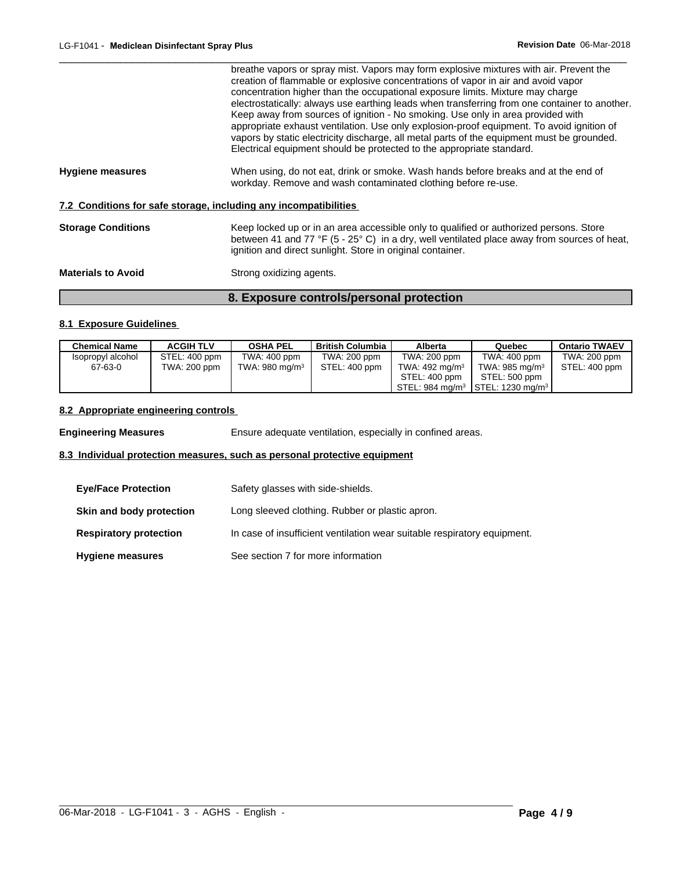|                           | 8. Exposure controls/personal protection<br>8.1 Exposure Guidelines                                                                                                                                                                                                                                                                                                                                                                                                                                                                                                                                                                                                                                                   |
|---------------------------|-----------------------------------------------------------------------------------------------------------------------------------------------------------------------------------------------------------------------------------------------------------------------------------------------------------------------------------------------------------------------------------------------------------------------------------------------------------------------------------------------------------------------------------------------------------------------------------------------------------------------------------------------------------------------------------------------------------------------|
|                           |                                                                                                                                                                                                                                                                                                                                                                                                                                                                                                                                                                                                                                                                                                                       |
| <b>Materials to Avoid</b> | Strong oxidizing agents.                                                                                                                                                                                                                                                                                                                                                                                                                                                                                                                                                                                                                                                                                              |
| <b>Storage Conditions</b> | Keep locked up or in an area accessible only to qualified or authorized persons. Store<br>between 41 and 77 °F (5 - 25° C) in a dry, well ventilated place away from sources of heat,<br>ignition and direct sunlight. Store in original container.                                                                                                                                                                                                                                                                                                                                                                                                                                                                   |
|                           | 7.2 Conditions for safe storage, including any incompatibilities                                                                                                                                                                                                                                                                                                                                                                                                                                                                                                                                                                                                                                                      |
| <b>Hygiene measures</b>   | When using, do not eat, drink or smoke. Wash hands before breaks and at the end of<br>workday. Remove and wash contaminated clothing before re-use.                                                                                                                                                                                                                                                                                                                                                                                                                                                                                                                                                                   |
|                           | breathe vapors or spray mist. Vapors may form explosive mixtures with air. Prevent the<br>creation of flammable or explosive concentrations of vapor in air and avoid vapor<br>concentration higher than the occupational exposure limits. Mixture may charge<br>electrostatically: always use earthing leads when transferring from one container to another.<br>Keep away from sources of ignition - No smoking. Use only in area provided with<br>appropriate exhaust ventilation. Use only explosion-proof equipment. To avoid ignition of<br>vapors by static electricity discharge, all metal parts of the equipment must be grounded.<br>Electrical equipment should be protected to the appropriate standard. |

# **8.1 Exposure Guidelines**

| <b>Chemical Name</b> | <b>ACGIH TLV</b> | <b>OSHA PEL</b>   | <b>British Columbia</b> | Alberta                   | Quebec                                                     | <b>Ontario TWAEV</b> |
|----------------------|------------------|-------------------|-------------------------|---------------------------|------------------------------------------------------------|----------------------|
| Isopropyl alcohol    | STEL: 400 ppm    | TWA: 400 ppm      | TWA: 200 ppm            | TWA: 200 ppm              | TWA: 400 ppm                                               | TWA: 200 ppm         |
| 67-63-0              | TWA: 200 ppm     | TWA: 980 mg/m $3$ | STEL: 400 ppm           | TWA: $492 \text{ mg/m}^3$ | TWA: 985 mg/m $3$                                          | STEL: 400 ppm        |
|                      |                  |                   |                         | STEL: 400 ppm             | STEL: 500 ppm                                              |                      |
|                      |                  |                   |                         |                           | STEL: 984 mg/m <sup>3</sup> STEL: 1230 mg/m <sup>3</sup> l |                      |

# **8.2 Appropriate engineering controls**

**Engineering Measures** Ensure adequate ventilation, especially in confined areas.

# **8.3 Individual protection measures, such as personal protective equipment**

| <b>Eye/Face Protection</b>    | Safety glasses with side-shields.                                        |
|-------------------------------|--------------------------------------------------------------------------|
| Skin and body protection      | Long sleeved clothing. Rubber or plastic apron.                          |
| <b>Respiratory protection</b> | In case of insufficient ventilation wear suitable respiratory equipment. |
| <b>Hygiene measures</b>       | See section 7 for more information                                       |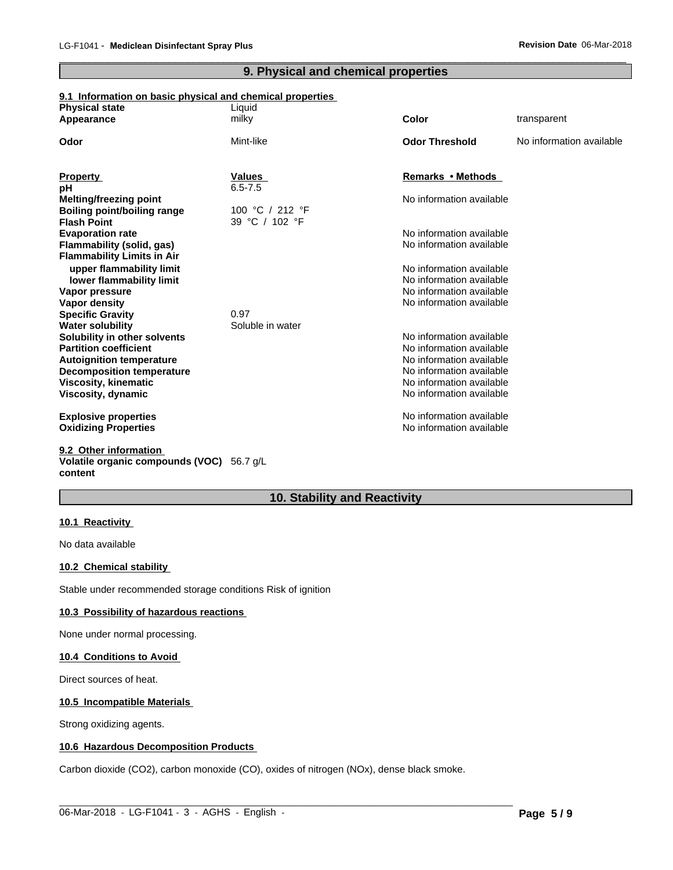# **9.1 Information on basic physical and chemical properties**

|                                                                               |                                     |                                                      | Revision Date 06-Mar-2018 |
|-------------------------------------------------------------------------------|-------------------------------------|------------------------------------------------------|---------------------------|
|                                                                               | 9. Physical and chemical properties |                                                      |                           |
| 9.1 Information on basic physical and chemical properties                     |                                     |                                                      |                           |
| <b>Physical state</b><br>Appearance                                           | Liquid<br>milky                     | <b>Color</b>                                         | transparent               |
|                                                                               |                                     |                                                      |                           |
| Odor                                                                          | Mint-like                           | <b>Odor Threshold</b>                                | No information available  |
| <b>Property</b>                                                               | Values                              | Remarks • Methods                                    |                           |
| рH                                                                            | $6.5 - 7.5$                         |                                                      |                           |
| <b>Melting/freezing point</b>                                                 |                                     | No information available                             |                           |
| <b>Boiling point/boiling range</b><br><b>Flash Point</b>                      | 100 °C / 212 °F<br>39 °C / 102 °F   |                                                      |                           |
| <b>Evaporation rate</b>                                                       |                                     | No information available                             |                           |
| Flammability (solid, gas)                                                     |                                     | No information available                             |                           |
| <b>Flammability Limits in Air</b>                                             |                                     |                                                      |                           |
| upper flammability limit                                                      |                                     | No information available                             |                           |
| lower flammability limit                                                      |                                     | No information available                             |                           |
| Vapor pressure                                                                |                                     | No information available                             |                           |
| Vapor density                                                                 |                                     | No information available                             |                           |
| <b>Specific Gravity</b><br><b>Water solubility</b>                            | 0.97<br>Soluble in water            |                                                      |                           |
| Solubility in other solvents                                                  |                                     | No information available                             |                           |
| <b>Partition coefficient</b>                                                  |                                     | No information available                             |                           |
| <b>Autoignition temperature</b>                                               |                                     | No information available                             |                           |
| <b>Decomposition temperature</b>                                              |                                     | No information available                             |                           |
| <b>Viscosity, kinematic</b>                                                   |                                     | No information available                             |                           |
| <b>Viscosity, dynamic</b>                                                     |                                     | No information available                             |                           |
| <b>Explosive properties</b><br><b>Oxidizing Properties</b>                    |                                     | No information available<br>No information available |                           |
| 9.2 Other information<br>Volatile organic compounds (VOC) 56.7 g/L<br>content |                                     |                                                      |                           |
|                                                                               | 10. Stability and Reactivity        |                                                      |                           |

 $\_$  ,  $\_$  ,  $\_$  ,  $\_$  ,  $\_$  ,  $\_$  ,  $\_$  ,  $\_$  ,  $\_$  ,  $\_$  ,  $\_$  ,  $\_$  ,  $\_$  ,  $\_$  ,  $\_$  ,  $\_$  ,  $\_$  ,  $\_$  ,  $\_$  ,  $\_$  ,  $\_$  ,  $\_$  ,  $\_$  ,  $\_$  ,  $\_$  ,  $\_$  ,  $\_$  ,  $\_$  ,  $\_$  ,  $\_$  ,  $\_$  ,  $\_$  ,  $\_$  ,  $\_$  ,  $\_$  ,  $\_$  ,  $\_$  ,

# **10.1 Reactivity**

No data available

# **10.2 Chemical stability**

Stable under recommended storage conditions Risk of ignition

### **10.3 Possibility of hazardous reactions**

None under normal processing.

## **10.4 Conditions to Avoid**

Direct sources of heat.

## **10.5 Incompatible Materials**

Strong oxidizing agents.

# **10.6 Hazardous Decomposition Products**

Carbon dioxide (CO2), carbon monoxide (CO), oxides of nitrogen (NOx), dense black smoke.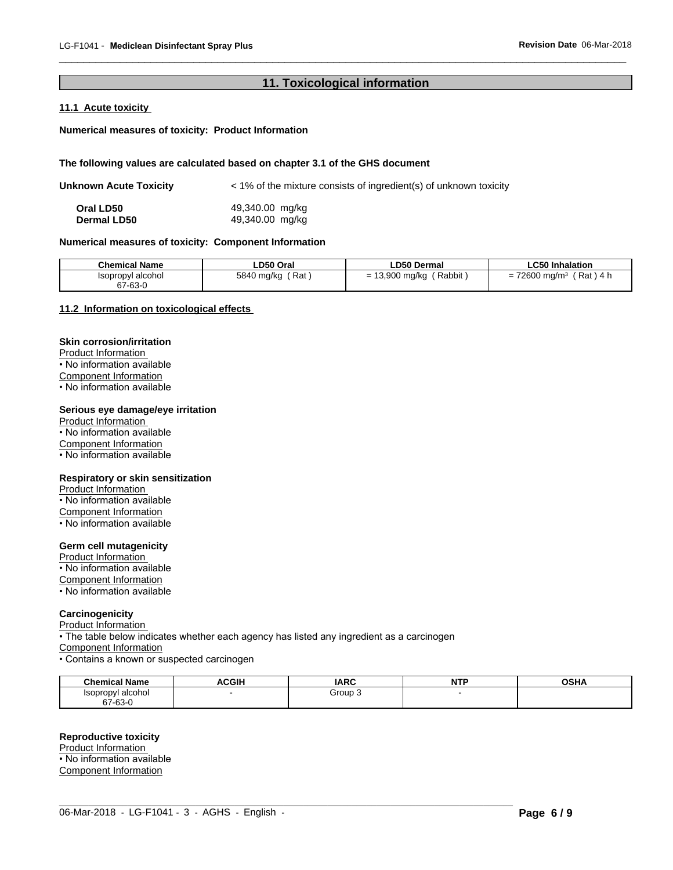# **11. Toxicological information**<br> **11. Toxicological information**

 $\_$  ,  $\_$  ,  $\_$  ,  $\_$  ,  $\_$  ,  $\_$  ,  $\_$  ,  $\_$  ,  $\_$  ,  $\_$  ,  $\_$  ,  $\_$  ,  $\_$  ,  $\_$  ,  $\_$  ,  $\_$  ,  $\_$  ,  $\_$  ,  $\_$  ,  $\_$  ,  $\_$  ,  $\_$  ,  $\_$  ,  $\_$  ,  $\_$  ,  $\_$  ,  $\_$  ,  $\_$  ,  $\_$  ,  $\_$  ,  $\_$  ,  $\_$  ,  $\_$  ,  $\_$  ,  $\_$  ,  $\_$  ,  $\_$  ,

# **11.1 Acute toxicity**

# **Numerical measures of toxicity: Product Information**

## **The following values are calculated based on chapter 3.1 of the GHS document**

| <b>Unknown Acute Toxicity</b> | < 1% of the mixture consists of ingredient(s) of unknown toxicity |
|-------------------------------|-------------------------------------------------------------------|
|-------------------------------|-------------------------------------------------------------------|

**Oral LD50** 49,340.00 mg/kg<br> **Dermal LD50** 49,340.00 mg/kg **Dermal LD50** 49,340.00 mg/kg

# **Numerical measures of toxicity: Component Information**

| <b>Chemical Name</b>         | LD50 Oral         | <b>LD50 Dermal</b>                | <b>LC50 Inhalation</b>                                                  |
|------------------------------|-------------------|-----------------------------------|-------------------------------------------------------------------------|
| Isopropyl alcohol<br>67-63-0 | Rat<br>5840 mg/kg | Rabbit<br>$.3,900$ mg/kg $'$<br>- | 72600 mg/m <sup>3</sup><br>Rat<br>۱4 h<br>$\overline{\phantom{0}}$<br>= |

# **11.2 Information on toxicological effects**

# **Skin corrosion/irritation**

Product Information

• No information available

Component Information

• No information available

# **Serious eye damage/eye irritation**

Product Information • No information available Component Information • No information available

### **Respiratory or skin sensitization**

Product Information

• No information available

Component Information

• No information available

# **Germ cell mutagenicity**

Product Information

• No information available Component Information

• No information available

# **Carcinogenicity**

Product Information

• The table below indicates whether each agency has listed any ingredient as a carcinogen

Component Information

• Contains a known or suspected carcinogen

| <b>Chemical Name</b>                 | ACGIH | <b>IARC</b> | .<br>N<br>. | <b>OCUA</b><br>UJNA |
|--------------------------------------|-------|-------------|-------------|---------------------|
| l alcohol<br><i><b>Isopropyl</b></i> |       | Group 3     |             |                     |
| 67-63-0                              |       |             |             |                     |

 $\_$  ,  $\_$  ,  $\_$  ,  $\_$  ,  $\_$  ,  $\_$  ,  $\_$  ,  $\_$  ,  $\_$  ,  $\_$  ,  $\_$  ,  $\_$  ,  $\_$  ,  $\_$  ,  $\_$  ,  $\_$  ,  $\_$  ,  $\_$  ,  $\_$  ,  $\_$  ,  $\_$  ,  $\_$  ,  $\_$  ,  $\_$  ,  $\_$  ,  $\_$  ,  $\_$  ,  $\_$  ,  $\_$  ,  $\_$  ,  $\_$  ,  $\_$  ,  $\_$  ,  $\_$  ,  $\_$  ,  $\_$  ,  $\_$  ,

## **Reproductive toxicity**

Product Information • No information available Component Information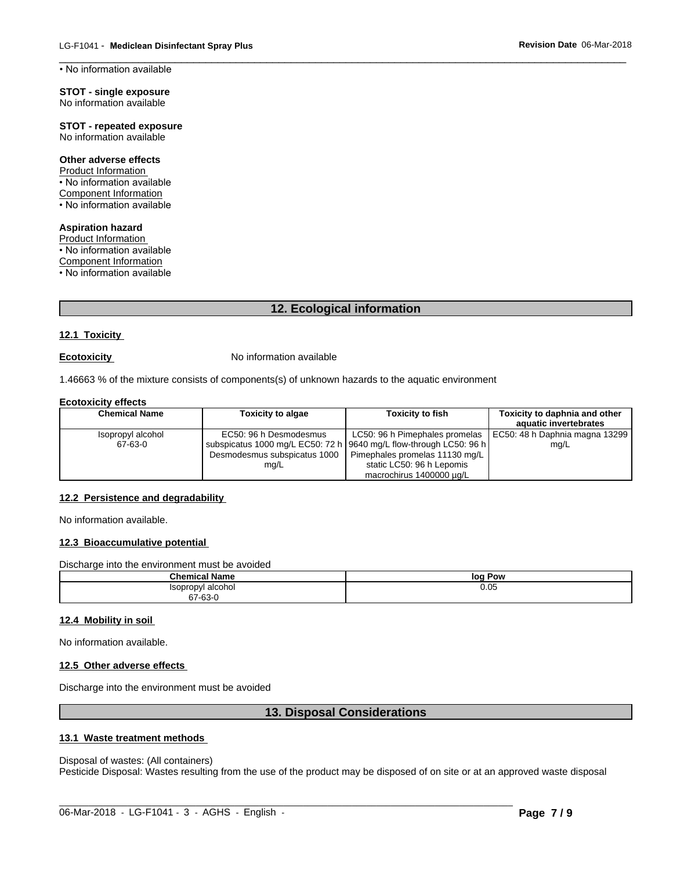$\_$  ,  $\_$  ,  $\_$  ,  $\_$  ,  $\_$  ,  $\_$  ,  $\_$  ,  $\_$  ,  $\_$  ,  $\_$  ,  $\_$  ,  $\_$  ,  $\_$  ,  $\_$  ,  $\_$  ,  $\_$  ,  $\_$  ,  $\_$  ,  $\_$  ,  $\_$  ,  $\_$  ,  $\_$  ,  $\_$  ,  $\_$  ,  $\_$  ,  $\_$  ,  $\_$  ,  $\_$  ,  $\_$  ,  $\_$  ,  $\_$  ,  $\_$  ,  $\_$  ,  $\_$  ,  $\_$  ,  $\_$  ,  $\_$  , • No information available

### **STOT - single exposure** No information available

**STOT - repeated exposure** No information available

# **Other adverse effects**

Product Information • No information available Component Information • No information available

# **Aspiration hazard**

Product Information • No information available Component Information • No information available

# **12. Ecological information**

# **12.1 Toxicity**

**Ecotoxicity No information available** 

1.46663 % of the mixture consists of components(s) of unknown hazards to the aquatic environment

## **Ecotoxicity effects**

| <b>Chemical Name</b> | <b>Toxicity to algae</b>     | <b>Toxicity to fish</b>                                              | Toxicity to daphnia and other                                   |
|----------------------|------------------------------|----------------------------------------------------------------------|-----------------------------------------------------------------|
|                      |                              |                                                                      | aquatic invertebrates                                           |
| Isopropyl alcohol    | EC50: 96 h Desmodesmus       |                                                                      | LC50: 96 h Pimephales promelas   EC50: 48 h Daphnia magna 13299 |
| 67-63-0              |                              | subspicatus 1000 mg/L EC50: 72 h   9640 mg/L flow-through LC50: 96 h | mg/L                                                            |
|                      | Desmodesmus subspicatus 1000 | Pimephales promelas 11130 mg/L                                       |                                                                 |
|                      | mq/L                         | static LC50: 96 h Lepomis                                            |                                                                 |
|                      |                              | macrochirus 1400000 µg/L                                             |                                                                 |

# **12.2 Persistence and degradability**

No information available.

# **12.3 Bioaccumulative potential**

| 12.3 Bioaccumulative potential                 |                                    |
|------------------------------------------------|------------------------------------|
| Discharge into the environment must be avoided |                                    |
| <b>Chemical Name</b>                           | log Pow                            |
| Isopropyl alcohol<br>67-63-0                   | 0.05                               |
| 12.4 Mobility in soil                          |                                    |
| No information available.                      |                                    |
| 12.5 Other adverse effects                     |                                    |
| Discharge into the environment must be avoided |                                    |
|                                                | <b>13. Disposal Considerations</b> |
| 13.1 Waste treatment methods                   |                                    |
| Disnosal of wastes: (All containers)           |                                    |

# **12.4 Mobility in soil**

# **12.5 Other adverse effects**

# **13.1 Waste treatment methods**

Disposal of wastes: (All containers) Pesticide Disposal: Wastes resulting from the use of the product may be disposed of on site or at an approved waste disposal

 $\_$  ,  $\_$  ,  $\_$  ,  $\_$  ,  $\_$  ,  $\_$  ,  $\_$  ,  $\_$  ,  $\_$  ,  $\_$  ,  $\_$  ,  $\_$  ,  $\_$  ,  $\_$  ,  $\_$  ,  $\_$  ,  $\_$  ,  $\_$  ,  $\_$  ,  $\_$  ,  $\_$  ,  $\_$  ,  $\_$  ,  $\_$  ,  $\_$  ,  $\_$  ,  $\_$  ,  $\_$  ,  $\_$  ,  $\_$  ,  $\_$  ,  $\_$  ,  $\_$  ,  $\_$  ,  $\_$  ,  $\_$  ,  $\_$  ,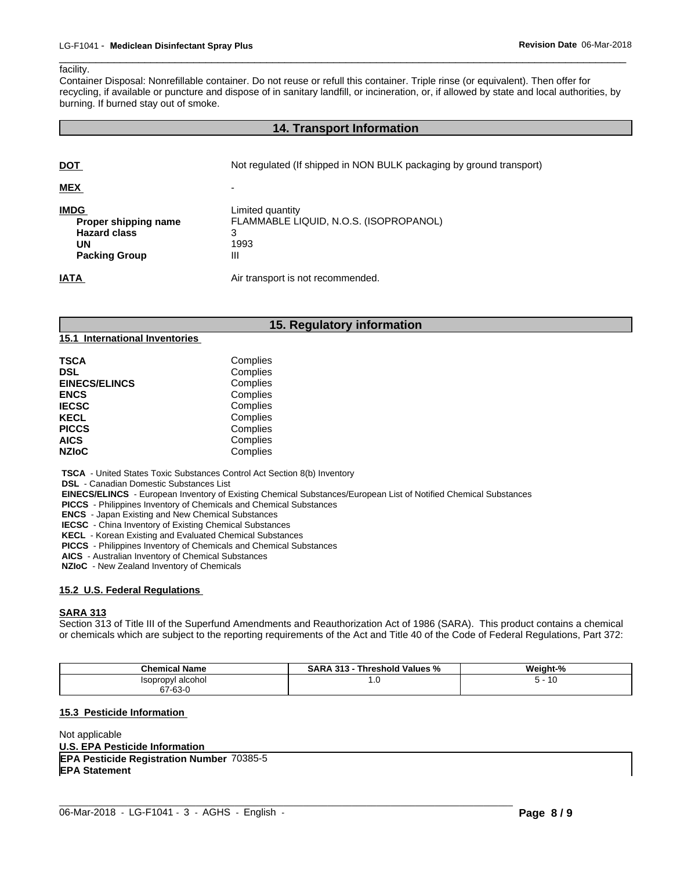### facility.

Container Disposal: Nonrefillable container. Do not reuse or refull this container. Triple rinse (or equivalent). Then offer for recycling, if available or puncture and dispose of in sanitary landfill, or incineration, or, if allowed by state and local authorities, by burning. If burned stay out of smoke. **14. Transport Information**<br>
14. Transport Information, or, if allowed by state and local<br>
14. Transport Information<br>
14. Transport Information<br>
14. Transport Information

 $\_$  ,  $\_$  ,  $\_$  ,  $\_$  ,  $\_$  ,  $\_$  ,  $\_$  ,  $\_$  ,  $\_$  ,  $\_$  ,  $\_$  ,  $\_$  ,  $\_$  ,  $\_$  ,  $\_$  ,  $\_$  ,  $\_$  ,  $\_$  ,  $\_$  ,  $\_$  ,  $\_$  ,  $\_$  ,  $\_$  ,  $\_$  ,  $\_$  ,  $\_$  ,  $\_$  ,  $\_$  ,  $\_$  ,  $\_$  ,  $\_$  ,  $\_$  ,  $\_$  ,  $\_$  ,  $\_$  ,  $\_$  ,  $\_$  ,

| <b>DOT</b>                                                                                                     | Not regulated (If shipped in NON BULK packaging by ground transport)                                              |
|----------------------------------------------------------------------------------------------------------------|-------------------------------------------------------------------------------------------------------------------|
| <b>MEX</b>                                                                                                     |                                                                                                                   |
| <b>IMDG</b><br>Proper shipping name<br><b>Hazard class</b><br><b>UN</b><br><b>Packing Group</b><br><b>IATA</b> | Limited quantity<br>FLAMMABLE LIQUID, N.O.S. (ISOPROPANOL)<br>3<br>1993<br>Ш<br>Air transport is not recommended. |
|                                                                                                                | 15. Regulatory information                                                                                        |
| 15.1 International Inventories                                                                                 |                                                                                                                   |
| <b>TSCA</b><br>DSL                                                                                             | Complies<br>Complies                                                                                              |

| TSCA                 | Complies |  |
|----------------------|----------|--|
| DSL                  | Complies |  |
| <b>EINECS/ELINCS</b> | Complies |  |
| <b>ENCS</b>          | Complies |  |
| <b>IECSC</b>         | Complies |  |
| KECL                 | Complies |  |
| <b>PICCS</b>         | Complies |  |
| <b>AICS</b>          | Complies |  |
| <b>NZIoC</b>         | Complies |  |
|                      |          |  |

 **TSCA** - United States Toxic Substances Control Act Section 8(b) Inventory

 **DSL** - Canadian Domestic Substances List

 **EINECS/ELINCS** - European Inventory of Existing Chemical Substances/European List of Notified Chemical Substances

 **PICCS** - Philippines Inventory of Chemicals and Chemical Substances

 **ENCS** - Japan Existing and New Chemical Substances

 **IECSC** - China Inventory of Existing Chemical Substances

 **KECL** - Korean Existing and Evaluated Chemical Substances

 **PICCS** - Philippines Inventory of Chemicals and Chemical Substances

 **AICS** - Australian Inventory of Chemical Substances

 **NZIoC** - New Zealand Inventory of Chemicals

# **15.2 U.S. Federal Regulations**

## **SARA 313**

Section 313 of Title III of the Superfund Amendments and Reauthorization Act of 1986 (SARA). This product contains a chemical or chemicals which are subject to the reporting requirements of the Act and Title 40 of the Code of Federal Regulations, Part 372:

| <b>Chemical Name</b> | <b>SARA</b><br>. 313<br>Threshold Values<br>"∕o | Weight-%       |
|----------------------|-------------------------------------------------|----------------|
| Isopropyl alcohol    | 1.U                                             | $\sim$<br>- 16 |
| 67-63-0              |                                                 |                |

 $\_$  ,  $\_$  ,  $\_$  ,  $\_$  ,  $\_$  ,  $\_$  ,  $\_$  ,  $\_$  ,  $\_$  ,  $\_$  ,  $\_$  ,  $\_$  ,  $\_$  ,  $\_$  ,  $\_$  ,  $\_$  ,  $\_$  ,  $\_$  ,  $\_$  ,  $\_$  ,  $\_$  ,  $\_$  ,  $\_$  ,  $\_$  ,  $\_$  ,  $\_$  ,  $\_$  ,  $\_$  ,  $\_$  ,  $\_$  ,  $\_$  ,  $\_$  ,  $\_$  ,  $\_$  ,  $\_$  ,  $\_$  ,  $\_$  ,

## **15.3 Pesticide Information**

Not applicable **U.S. EPA Pesticide Information EPA Pesticide Registration Number** 70385-5 **EPA Statement**